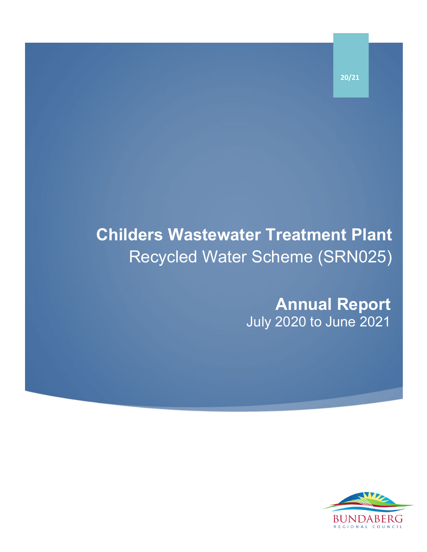**Childers Wastewater Treatment Plant** Recycled Water Scheme (SRN025)

> **Annual Report** July 2020 to June 2021



**20/21**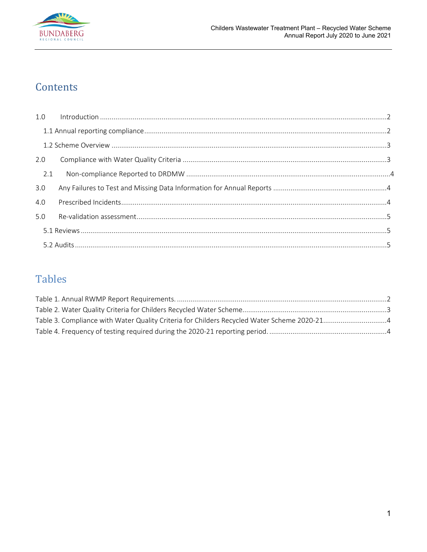

## Contents

| 2.0 |  |
|-----|--|
| 2.1 |  |
| 3.0 |  |
| 4.0 |  |
| 5.0 |  |
|     |  |
|     |  |

# **Tables**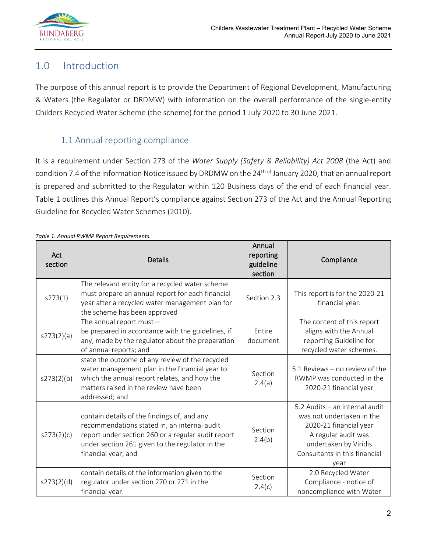

## <span id="page-2-0"></span>1.0 Introduction

The purpose of this annual report is to provide the Department of Regional Development, Manufacturing & Waters (the Regulator or DRDMW) with information on the overall performance of the single-entity Childers Recycled Water Scheme (the scheme) for the period 1 July 2020 to 30 June 2021.

#### 1.1 Annual reporting compliance

<span id="page-2-1"></span>It is a requirement under Section 273 of the *Water Supply (Safety & Reliability) Act 2008* (the Act) and condition 7.4 of the Information Notice issued by DRDMW on the 24<sup>th of</sup> January 2020, that an annual report is prepared and submitted to the Regulator within 120 Business days of the end of each financial year. Table 1 outlines this Annual Report's compliance against Section 273 of the Act and the Annual Reporting Guideline for Recycled Water Schemes (2010).

| Act<br>section | <b>Details</b>                                                                                                                                                                                                              | Annual<br>reporting<br>guideline<br>section | Compliance                                                                                                                                                                     |
|----------------|-----------------------------------------------------------------------------------------------------------------------------------------------------------------------------------------------------------------------------|---------------------------------------------|--------------------------------------------------------------------------------------------------------------------------------------------------------------------------------|
| s273(1)        | The relevant entity for a recycled water scheme<br>must prepare an annual report for each financial<br>year after a recycled water management plan for<br>the scheme has been approved                                      | Section 2.3                                 | This report is for the 2020-21<br>financial year.                                                                                                                              |
| s273(2)(a)     | The annual report must-<br>be prepared in accordance with the guidelines, if<br>any, made by the regulator about the preparation<br>of annual reports; and                                                                  | <b>Fntire</b><br>document                   | The content of this report<br>aligns with the Annual<br>reporting Guideline for<br>recycled water schemes.                                                                     |
| s273(2)(b)     | state the outcome of any review of the recycled<br>water management plan in the financial year to<br>which the annual report relates, and how the<br>matters raised in the review have been<br>addressed; and               | Section<br>2.4(a)                           | 5.1 Reviews – no review of the<br>RWMP was conducted in the<br>2020-21 financial year                                                                                          |
| s273(2)(c)     | contain details of the findings of, and any<br>recommendations stated in, an internal audit<br>report under section 260 or a regular audit report<br>under section 261 given to the regulator in the<br>financial year; and | Section<br>2.4(b)                           | 5.2 Audits - an internal audit<br>was not undertaken in the<br>2020-21 financial year<br>A regular audit was<br>undertaken by Viridis<br>Consultants in this financial<br>year |
| s273(2)(d)     | contain details of the information given to the<br>regulator under section 270 or 271 in the<br>financial year.                                                                                                             | Section<br>2.4(c)                           | 2.0 Recycled Water<br>Compliance - notice of<br>noncompliance with Water                                                                                                       |

<span id="page-2-2"></span>*Table 1. Annual RWMP Report Requirements.*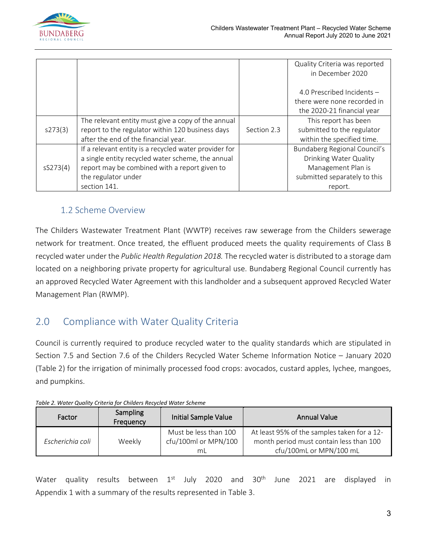

|          |                                                       |             | Quality Criteria was reported |
|----------|-------------------------------------------------------|-------------|-------------------------------|
|          |                                                       |             | in December 2020              |
|          |                                                       |             | 4.0 Prescribed Incidents -    |
|          |                                                       |             | there were none recorded in   |
|          |                                                       |             | the 2020-21 financial year    |
|          | The relevant entity must give a copy of the annual    |             | This report has been          |
| s273(3)  | report to the regulator within 120 business days      | Section 2.3 | submitted to the regulator    |
|          | after the end of the financial year.                  |             | within the specified time.    |
|          | If a relevant entity is a recycled water provider for |             | Bundaberg Regional Council's  |
|          | a single entity recycled water scheme, the annual     |             | Drinking Water Quality        |
| sS273(4) | report may be combined with a report given to         |             | Management Plan is            |
|          | the regulator under                                   |             | submitted separately to this  |
|          | section 141.                                          |             | report.                       |

#### 1.2 Scheme Overview

<span id="page-3-0"></span>The Childers Wastewater Treatment Plant (WWTP) receives raw sewerage from the Childers sewerage network for treatment. Once treated, the effluent produced meets the quality requirements of Class B recycled water under the *Public Health Regulation 2018.* The recycled water is distributed to a storage dam located on a neighboring private property for agricultural use. Bundaberg Regional Council currently has an approved Recycled Water Agreement with this landholder and a subsequent approved Recycled Water Management Plan (RWMP).

## <span id="page-3-1"></span>2.0 Compliance with Water Quality Criteria

Council is currently required to produce recycled water to the quality standards which are stipulated in Section 7.5 and Section 7.6 of the Childers Recycled Water Scheme Information Notice – January 2020 (Table 2) for the irrigation of minimally processed food crops: avocados, custard apples, lychee, mangoes, and pumpkins.

| Factor           | <b>Sampling</b><br>Frequency | <b>Initial Sample Value</b>                         | <b>Annual Value</b>                                                                                               |
|------------------|------------------------------|-----------------------------------------------------|-------------------------------------------------------------------------------------------------------------------|
| Escherichia coli | Weekly                       | Must be less than 100<br>cfu/100ml or MPN/100<br>mL | At least 95% of the samples taken for a 12-<br>month period must contain less than 100<br>cfu/100mL or MPN/100 mL |

<span id="page-3-2"></span>

| Table 2. Water Quality Criteria for Childers Recycled Water Scheme |  |
|--------------------------------------------------------------------|--|
|                                                                    |  |

Water quality results between  $1^{st}$  July 2020 and 30<sup>th</sup> June 2021 are displayed in Appendix 1 with a summary of the results represented in Table 3.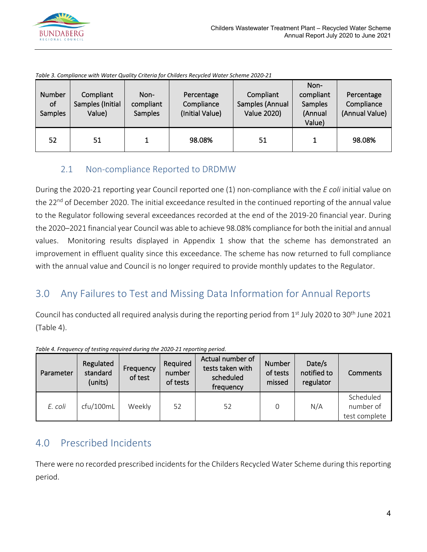

| Number<br>of<br><b>Samples</b> | Compliant<br>Samples (Initial<br>Value) | Non-<br>compliant<br><b>Samples</b> | Percentage<br>Compliance<br>(Initial Value) | Compliant<br>Samples (Annual<br><b>Value 2020)</b> | Non-<br>compliant<br><b>Samples</b><br>(Annual<br>Value) | Percentage<br>Compliance<br>(Annual Value) |
|--------------------------------|-----------------------------------------|-------------------------------------|---------------------------------------------|----------------------------------------------------|----------------------------------------------------------|--------------------------------------------|
| 52                             | 51                                      |                                     | 98.08%                                      | 51                                                 |                                                          | 98.08%                                     |

<span id="page-4-3"></span>*Table 3. Compliance with Water Quality Criteria for Childers Recycled Water Scheme 2020-21*

#### 2.1 Non-compliance Reported to DRDMW

<span id="page-4-0"></span>During the 2020-21 reporting year Council reported one (1) non-compliance with the *E coli* initial value on the 22<sup>nd</sup> of December 2020. The initial exceedance resulted in the continued reporting of the annual value to the Regulator following several exceedances recorded at the end of the 2019-20 financial year. During the 2020–2021 financial year Council was able to achieve 98.08% compliance for both the initial and annual values. Monitoring results displayed in Appendix 1 show that the scheme has demonstrated an improvement in effluent quality since this exceedance. The scheme has now returned to full compliance with the annual value and Council is no longer required to provide monthly updates to the Regulator.

## <span id="page-4-1"></span>3.0 Any Failures to Test and Missing Data Information for Annual Reports

Council has conducted all required analysis during the reporting period from 1<sup>st</sup> July 2020 to 30<sup>th</sup> June 2021 (Table 4).

| Parameter | Regulated<br>standard<br>(units) | Frequency<br>of test | Required<br>number<br>of tests | Actual number of<br>tests taken with<br>scheduled<br>frequency | Number<br>of tests<br>missed | Date/s<br>notified to<br>regulator | Comments                                |
|-----------|----------------------------------|----------------------|--------------------------------|----------------------------------------------------------------|------------------------------|------------------------------------|-----------------------------------------|
| E. coli   | cfu/100mL                        | Weekly               | 52                             | 52                                                             |                              | N/A                                | Scheduled<br>number of<br>test complete |

<span id="page-4-4"></span>*Table 4. Frequency of testing required during the 2020-21 reporting period.*

## <span id="page-4-2"></span>4.0 Prescribed Incidents

There were no recorded prescribed incidents for the Childers Recycled Water Scheme during this reporting period.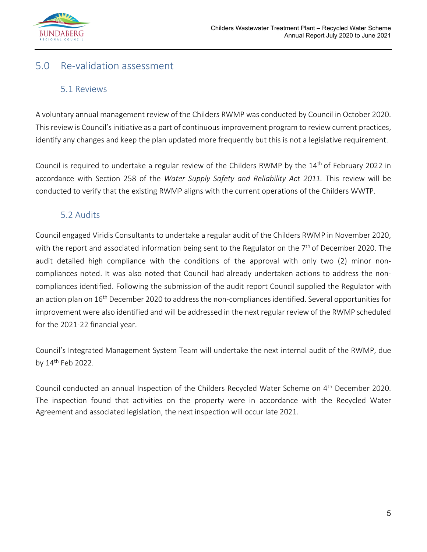

## <span id="page-5-1"></span><span id="page-5-0"></span>5.0 Re-validation assessment

#### 5.1 Reviews

A voluntary annual management review of the Childers RWMP was conducted by Council in October 2020. This review is Council's initiative as a part of continuous improvement program to review current practices, identify any changes and keep the plan updated more frequently but this is not a legislative requirement.

Council is required to undertake a regular review of the Childers RWMP by the 14<sup>th</sup> of February 2022 in accordance with Section 258 of the *Water Supply Safety and Reliability Act 2011.* This review will be conducted to verify that the existing RWMP aligns with the current operations of the Childers WWTP.

#### 5.2 Audits

<span id="page-5-2"></span>Council engaged Viridis Consultants to undertake a regular audit of the Childers RWMP in November 2020, with the report and associated information being sent to the Regulator on the  $7<sup>th</sup>$  of December 2020. The audit detailed high compliance with the conditions of the approval with only two (2) minor noncompliances noted. It was also noted that Council had already undertaken actions to address the noncompliances identified. Following the submission of the audit report Council supplied the Regulator with an action plan on 16<sup>th</sup> December 2020 to address the non-compliances identified. Several opportunities for improvement were also identified and will be addressed in the next regular review of the RWMP scheduled for the 2021-22 financial year.

Council's Integrated Management System Team will undertake the next internal audit of the RWMP, due by 14th Feb 2022.

Council conducted an annual Inspection of the Childers Recycled Water Scheme on 4<sup>th</sup> December 2020. The inspection found that activities on the property were in accordance with the Recycled Water Agreement and associated legislation, the next inspection will occur late 2021.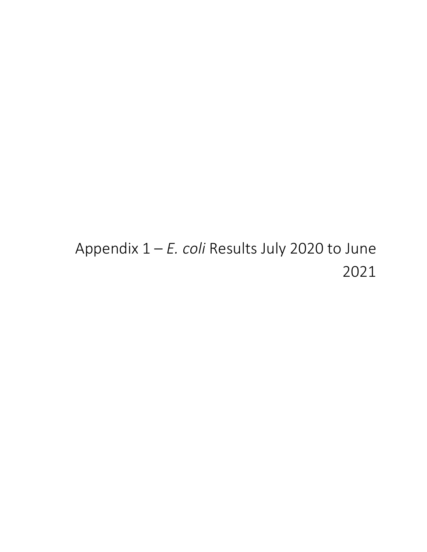# Appendix 1 – *E. coli* Results July 2020 to June 2021